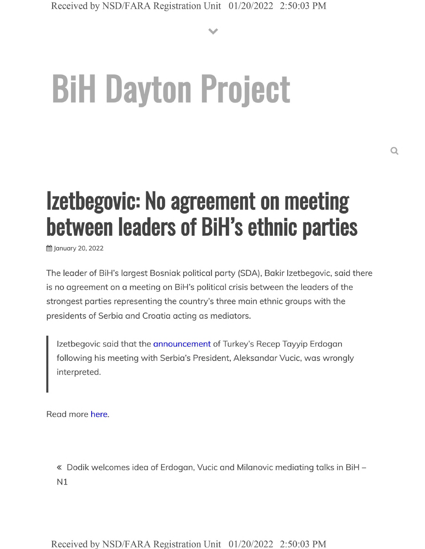**V**

## **BiH Dayton Project**

## **Izetbegovic: No agreement on meeting between leaders of BiH's ethnic parties**

**前 January 20, 2022** 

The leader of BiH's largest Bosniak political party (SDA), Bakir Izetbegovic, said there is no agreement on a meeting on BiH's political crisis between the leaders of the strongest parties representing the country's three main ethnic groups with the presidents of Serbia and Croatia acting as mediators.

Izetbegovic said that the announcement of Turkey's Recep Tayyip Erdogan following his meeting with Serbia's President, Aleksandar Vucic, was wrongly interpreted.

Read more here.

« Dodik welcomes idea of Erdogan, Vucic and Milanovic mediating talks in BiH - N1

Received by NSD/FARA Registration Unit 01/20/2022 2:50:03 PM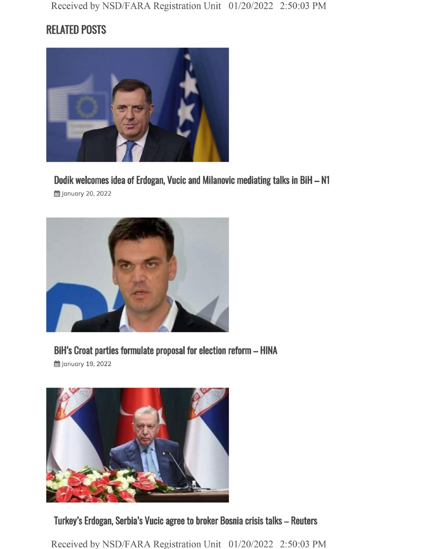## **RELATED POSTS**



**Dodik welcomes idea of Erdogan, Vucic and Milanovic mediating talks in BiH - N1**

**曲 January 20, 2022** 



**BiH's Croat parties formulate proposal for election reform - HINA**





**Turkey's Erdogan, Serbia's Vucic agree to broker Bosnia crisis talks - Reuters**

Received by NSD/FARA Registration Unit 01/20/2022 2:50:03 PM